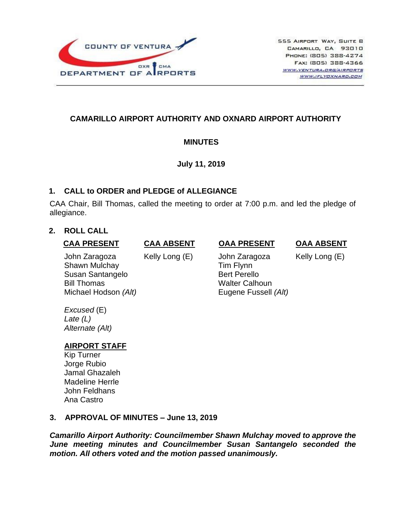

# **CAMARILLO AIRPORT AUTHORITY AND OXNARD AIRPORT AUTHORITY**

# **MINUTES**

## **July 11, 2019**

# **1. CALL to ORDER and PLEDGE of ALLEGIANCE**

CAA Chair, Bill Thomas, called the meeting to order at 7:00 p.m. and led the pledge of allegiance.

# **2. ROLL CALL**

### **CAA PRESENT**

John Zaragoza Shawn Mulchay Susan Santangelo Bill Thomas Michael Hodson *(Alt)* **CAA ABSENT** Kelly Long (E)

### **OAA PRESENT**

 John Zaragoza Tim Flynn Bert Perello Walter Calhoun Eugene Fussell *(Alt)* **OAA ABSENT**

Kelly Long (E)

*Excused* (E) *Late (L) Alternate (Alt)*

# **AIRPORT STAFF**

Kip Turner Jorge Rubio Jamal Ghazaleh Madeline Herrle John Feldhans Ana Castro

## **3. APPROVAL OF MINUTES – June 13, 2019**

*Camarillo Airport Authority: Councilmember Shawn Mulchay moved to approve the June meeting minutes and Councilmember Susan Santangelo seconded the motion. All others voted and the motion passed unanimously.*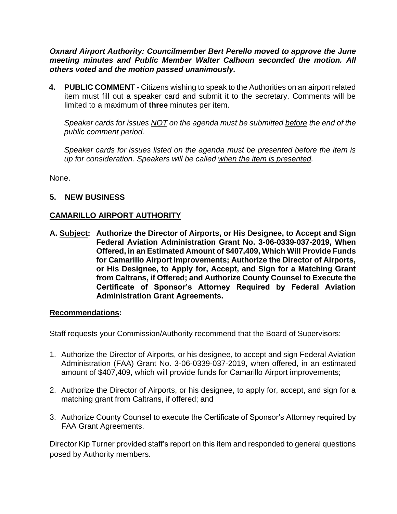*Oxnard Airport Authority: Councilmember Bert Perello moved to approve the June meeting minutes and Public Member Walter Calhoun seconded the motion. All others voted and the motion passed unanimously.*

**4. PUBLIC COMMENT -** Citizens wishing to speak to the Authorities on an airport related item must fill out a speaker card and submit it to the secretary. Comments will be limited to a maximum of **three** minutes per item.

*Speaker cards for issues NOT on the agenda must be submitted before the end of the public comment period.* 

*Speaker cards for issues listed on the agenda must be presented before the item is up for consideration. Speakers will be called when the item is presented.*

None.

## **5. NEW BUSINESS**

## **CAMARILLO AIRPORT AUTHORITY**

**A. Subject: Authorize the Director of Airports, or His Designee, to Accept and Sign Federal Aviation Administration Grant No. 3-06-0339-037-2019, When Offered, in an Estimated Amount of \$407,409, Which Will Provide Funds for Camarillo Airport Improvements; Authorize the Director of Airports, or His Designee, to Apply for, Accept, and Sign for a Matching Grant from Caltrans, if Offered; and Authorize County Counsel to Execute the Certificate of Sponsor's Attorney Required by Federal Aviation Administration Grant Agreements.** 

#### **Recommendations:**

Staff requests your Commission/Authority recommend that the Board of Supervisors:

- 1. Authorize the Director of Airports, or his designee, to accept and sign Federal Aviation Administration (FAA) Grant No. 3-06-0339-037-2019, when offered, in an estimated amount of \$407,409, which will provide funds for Camarillo Airport improvements;
- 2. Authorize the Director of Airports, or his designee, to apply for, accept, and sign for a matching grant from Caltrans, if offered; and
- 3. Authorize County Counsel to execute the Certificate of Sponsor's Attorney required by FAA Grant Agreements.

Director Kip Turner provided staff's report on this item and responded to general questions posed by Authority members.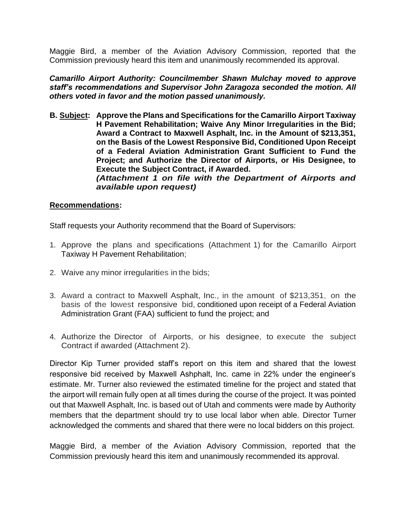Maggie Bird, a member of the Aviation Advisory Commission, reported that the Commission previously heard this item and unanimously recommended its approval.

*Camarillo Airport Authority: Councilmember Shawn Mulchay moved to approve staff's recommendations and Supervisor John Zaragoza seconded the motion. All others voted in favor and the motion passed unanimously.*

**B. Subject: Approve the Plans and Specifications for the Camarillo Airport Taxiway H Pavement Rehabilitation; Waive Any Minor Irregularities in the Bid; Award a Contract to Maxwell Asphalt, Inc. in the Amount of \$213,351, on the Basis of the Lowest Responsive Bid, Conditioned Upon Receipt of a Federal Aviation Administration Grant Sufficient to Fund the Project; and Authorize the Director of Airports, or His Designee, to Execute the Subject Contract, if Awarded.** *(Attachment 1 on file with the Department of Airports and available upon request)*

#### **Recommendations:**

Staff requests your Authority recommend that the Board of Supervisors:

- 1. Approve the plans and specifications (Attachment 1) for the Camarillo Airport Taxiway H Pavement Rehabilitation;
- 2. Waive any minor irregularities in the bids;
- 3. Award a contract to Maxwell Asphalt, Inc., in the amount of \$213,351, on the basis of the lowest responsive bid, conditioned upon receipt of a Federal Aviation Administration Grant (FAA) sufficient to fund the project; and
- 4. Authorize the Director of Airports, or his designee, to execute the subject Contract if awarded (Attachment 2).

Director Kip Turner provided staff's report on this item and shared that the lowest responsive bid received by Maxwell Ashphalt, Inc. came in 22% under the engineer's estimate. Mr. Turner also reviewed the estimated timeline for the project and stated that the airport will remain fully open at all times during the course of the project. It was pointed out that Maxwell Asphalt, Inc. is based out of Utah and comments were made by Authority members that the department should try to use local labor when able. Director Turner acknowledged the comments and shared that there were no local bidders on this project.

Maggie Bird, a member of the Aviation Advisory Commission, reported that the Commission previously heard this item and unanimously recommended its approval.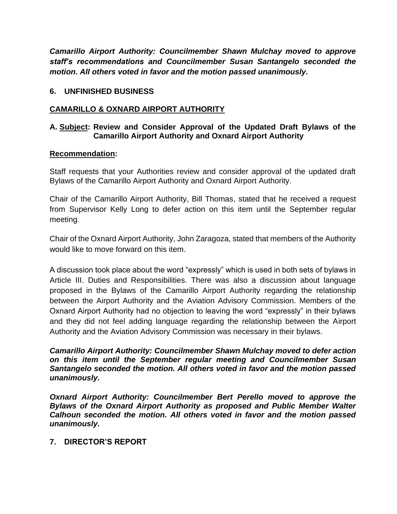*Camarillo Airport Authority: Councilmember Shawn Mulchay moved to approve staff's recommendations and Councilmember Susan Santangelo seconded the motion. All others voted in favor and the motion passed unanimously.*

#### **6. UNFINISHED BUSINESS**

#### **CAMARILLO & OXNARD AIRPORT AUTHORITY**

#### **A. Subject: Review and Consider Approval of the Updated Draft Bylaws of the Camarillo Airport Authority and Oxnard Airport Authority**

#### **Recommendation:**

Staff requests that your Authorities review and consider approval of the updated draft Bylaws of the Camarillo Airport Authority and Oxnard Airport Authority.

Chair of the Camarillo Airport Authority, Bill Thomas, stated that he received a request from Supervisor Kelly Long to defer action on this item until the September regular meeting.

Chair of the Oxnard Airport Authority, John Zaragoza, stated that members of the Authority would like to move forward on this item.

A discussion took place about the word "expressly" which is used in both sets of bylaws in Article III. Duties and Responsibilities. There was also a discussion about language proposed in the Bylaws of the Camarillo Airport Authority regarding the relationship between the Airport Authority and the Aviation Advisory Commission. Members of the Oxnard Airport Authority had no objection to leaving the word "expressly" in their bylaws and they did not feel adding language regarding the relationship between the Airport Authority and the Aviation Advisory Commission was necessary in their bylaws.

*Camarillo Airport Authority: Councilmember Shawn Mulchay moved to defer action on this item until the September regular meeting and Councilmember Susan Santangelo seconded the motion. All others voted in favor and the motion passed unanimously.*

*Oxnard Airport Authority: Councilmember Bert Perello moved to approve the Bylaws of the Oxnard Airport Authority as proposed and Public Member Walter Calhoun seconded the motion. All others voted in favor and the motion passed unanimously.*

#### **7. DIRECTOR'S REPORT**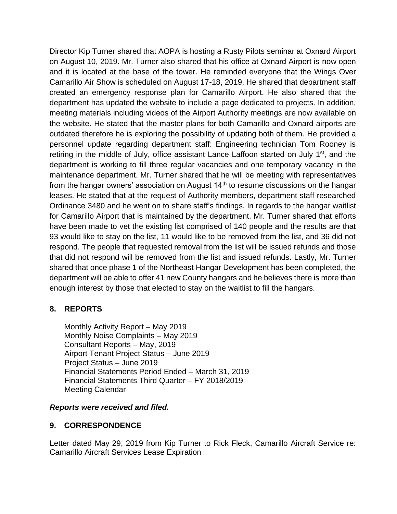Director Kip Turner shared that AOPA is hosting a Rusty Pilots seminar at Oxnard Airport on August 10, 2019. Mr. Turner also shared that his office at Oxnard Airport is now open and it is located at the base of the tower. He reminded everyone that the Wings Over Camarillo Air Show is scheduled on August 17-18, 2019. He shared that department staff created an emergency response plan for Camarillo Airport. He also shared that the department has updated the website to include a page dedicated to projects. In addition, meeting materials including videos of the Airport Authority meetings are now available on the website. He stated that the master plans for both Camarillo and Oxnard airports are outdated therefore he is exploring the possibility of updating both of them. He provided a personnel update regarding department staff: Engineering technician Tom Rooney is retiring in the middle of July, office assistant Lance Laffoon started on July 1<sup>st</sup>, and the department is working to fill three regular vacancies and one temporary vacancy in the maintenance department. Mr. Turner shared that he will be meeting with representatives from the hangar owners' association on August  $14<sup>th</sup>$  to resume discussions on the hangar leases. He stated that at the request of Authority members, department staff researched Ordinance 3480 and he went on to share staff's findings. In regards to the hangar waitlist for Camarillo Airport that is maintained by the department, Mr. Turner shared that efforts have been made to vet the existing list comprised of 140 people and the results are that 93 would like to stay on the list, 11 would like to be removed from the list, and 36 did not respond. The people that requested removal from the list will be issued refunds and those that did not respond will be removed from the list and issued refunds. Lastly, Mr. Turner shared that once phase 1 of the Northeast Hangar Development has been completed, the department will be able to offer 41 new County hangars and he believes there is more than enough interest by those that elected to stay on the waitlist to fill the hangars.

## **8. REPORTS**

Monthly Activity Report – May 2019 Monthly Noise Complaints – May 2019 Consultant Reports – May, 2019 Airport Tenant Project Status – June 2019 Project Status – June 2019 Financial Statements Period Ended – March 31, 2019 Financial Statements Third Quarter – FY 2018/2019 Meeting Calendar

#### *Reports were received and filed.*

## **9. CORRESPONDENCE**

Letter dated May 29, 2019 from Kip Turner to Rick Fleck, Camarillo Aircraft Service re: Camarillo Aircraft Services Lease Expiration